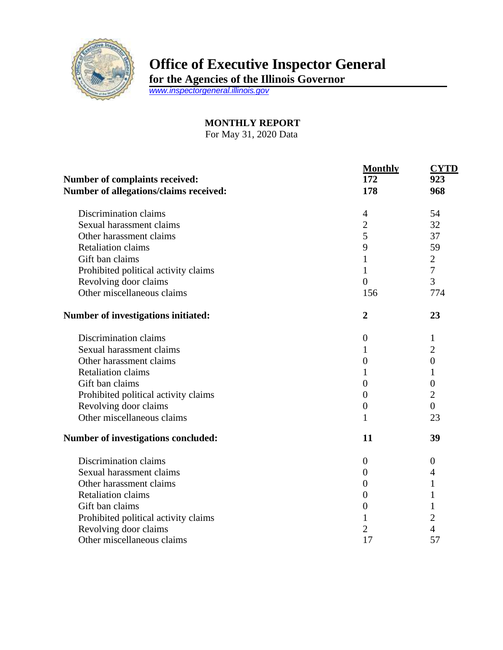

## **Office of Executive Inspector General**

**for the Agencies of the Illinois Governor**

*[www.inspectorgeneral.illinois.gov](http://www.inspectorgeneral.illinois.gov/)*

**MONTHLY REPORT** For May 31, 2020 Data

|                                                                                 | <b>Monthly</b>   | <b>CYTD</b>      |
|---------------------------------------------------------------------------------|------------------|------------------|
| <b>Number of complaints received:</b><br>Number of allegations/claims received: | 172              | 923<br>968       |
|                                                                                 | 178              |                  |
| Discrimination claims                                                           | 4                | 54               |
| Sexual harassment claims                                                        | $\overline{2}$   | 32               |
| Other harassment claims                                                         | 5                | 37               |
| <b>Retaliation claims</b>                                                       | 9                | 59               |
| Gift ban claims                                                                 | 1                | $\mathbf{2}$     |
| Prohibited political activity claims                                            | $\mathbf 1$      | $\tau$           |
| Revolving door claims                                                           | $\overline{0}$   | 3                |
| Other miscellaneous claims                                                      | 156              | 774              |
| Number of investigations initiated:                                             | $\overline{2}$   | 23               |
| Discrimination claims                                                           | $\overline{0}$   | 1                |
| Sexual harassment claims                                                        | 1                | $\overline{c}$   |
| Other harassment claims                                                         | $\overline{0}$   | $\boldsymbol{0}$ |
| <b>Retaliation claims</b>                                                       | 1                | 1                |
| Gift ban claims                                                                 | $\overline{0}$   | $\boldsymbol{0}$ |
| Prohibited political activity claims                                            | $\overline{0}$   | $\overline{2}$   |
| Revolving door claims                                                           | $\theta$         | $\overline{0}$   |
| Other miscellaneous claims                                                      | 1                | 23               |
| Number of investigations concluded:                                             | 11               | 39               |
| Discrimination claims                                                           | $\boldsymbol{0}$ | $\boldsymbol{0}$ |
| Sexual harassment claims                                                        | 0                | 4                |
| Other harassment claims                                                         | $\overline{0}$   | 1                |
| <b>Retaliation claims</b>                                                       | $\overline{0}$   | 1                |
| Gift ban claims                                                                 | $\overline{0}$   |                  |
| Prohibited political activity claims                                            | 1                | 2                |
| Revolving door claims                                                           | $\overline{2}$   | $\overline{4}$   |
| Other miscellaneous claims                                                      | 17               | 57               |